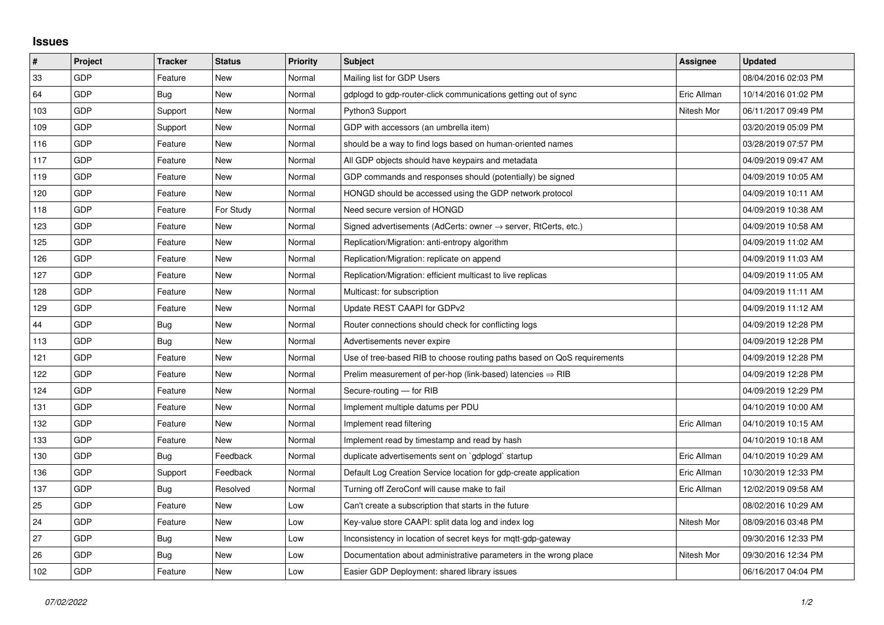## **Issues**

| $\vert$ # | Project    | <b>Tracker</b> | <b>Status</b> | <b>Priority</b> | <b>Subject</b>                                                             | Assignee    | <b>Updated</b>      |
|-----------|------------|----------------|---------------|-----------------|----------------------------------------------------------------------------|-------------|---------------------|
| 33        | <b>GDP</b> | Feature        | <b>New</b>    | Normal          | Mailing list for GDP Users                                                 |             | 08/04/2016 02:03 PM |
| 64        | <b>GDP</b> | Bug            | <b>New</b>    | Normal          | gdplogd to gdp-router-click communications getting out of sync             | Eric Allman | 10/14/2016 01:02 PM |
| 103       | <b>GDP</b> | Support        | <b>New</b>    | Normal          | Python3 Support                                                            | Nitesh Mor  | 06/11/2017 09:49 PM |
| 109       | GDP        | Support        | <b>New</b>    | Normal          | GDP with accessors (an umbrella item)                                      |             | 03/20/2019 05:09 PM |
| 116       | <b>GDP</b> | Feature        | <b>New</b>    | Normal          | should be a way to find logs based on human-oriented names                 |             | 03/28/2019 07:57 PM |
| 117       | <b>GDP</b> | Feature        | <b>New</b>    | Normal          | All GDP objects should have keypairs and metadata                          |             | 04/09/2019 09:47 AM |
| 119       | <b>GDP</b> | Feature        | <b>New</b>    | Normal          | GDP commands and responses should (potentially) be signed                  |             | 04/09/2019 10:05 AM |
| 120       | <b>GDP</b> | Feature        | <b>New</b>    | Normal          | HONGD should be accessed using the GDP network protocol                    |             | 04/09/2019 10:11 AM |
| 118       | <b>GDP</b> | Feature        | For Study     | Normal          | Need secure version of HONGD                                               |             | 04/09/2019 10:38 AM |
| 123       | GDP        | Feature        | New           | Normal          | Signed advertisements (AdCerts: owner $\rightarrow$ server, RtCerts, etc.) |             | 04/09/2019 10:58 AM |
| 125       | <b>GDP</b> | Feature        | <b>New</b>    | Normal          | Replication/Migration: anti-entropy algorithm                              |             | 04/09/2019 11:02 AM |
| 126       | <b>GDP</b> | Feature        | <b>New</b>    | Normal          | Replication/Migration: replicate on append                                 |             | 04/09/2019 11:03 AM |
| 127       | GDP        | Feature        | <b>New</b>    | Normal          | Replication/Migration: efficient multicast to live replicas                |             | 04/09/2019 11:05 AM |
| 128       | <b>GDP</b> | Feature        | <b>New</b>    | Normal          | Multicast: for subscription                                                |             | 04/09/2019 11:11 AM |
| 129       | <b>GDP</b> | Feature        | <b>New</b>    | Normal          | Update REST CAAPI for GDPv2                                                |             | 04/09/2019 11:12 AM |
| 44        | GDP        | Bug            | <b>New</b>    | Normal          | Router connections should check for conflicting logs                       |             | 04/09/2019 12:28 PM |
| 113       | <b>GDP</b> | Bug            | <b>New</b>    | Normal          | Advertisements never expire                                                |             | 04/09/2019 12:28 PM |
| 121       | <b>GDP</b> | Feature        | <b>New</b>    | Normal          | Use of tree-based RIB to choose routing paths based on QoS requirements    |             | 04/09/2019 12:28 PM |
| 122       | <b>GDP</b> | Feature        | <b>New</b>    | Normal          | Prelim measurement of per-hop (link-based) latencies $\Rightarrow$ RIB     |             | 04/09/2019 12:28 PM |
| 124       | GDP        | Feature        | <b>New</b>    | Normal          | Secure-routing - for RIB                                                   |             | 04/09/2019 12:29 PM |
| 131       | <b>GDP</b> | Feature        | <b>New</b>    | Normal          | Implement multiple datums per PDU                                          |             | 04/10/2019 10:00 AM |
| 132       | <b>GDP</b> | Feature        | New           | Normal          | Implement read filtering                                                   | Eric Allman | 04/10/2019 10:15 AM |
| 133       | GDP        | Feature        | <b>New</b>    | Normal          | Implement read by timestamp and read by hash                               |             | 04/10/2019 10:18 AM |
| 130       | <b>GDP</b> | Bug            | Feedback      | Normal          | duplicate advertisements sent on 'gdplogd' startup                         | Eric Allman | 04/10/2019 10:29 AM |
| 136       | <b>GDP</b> | Support        | Feedback      | Normal          | Default Log Creation Service location for gdp-create application           | Eric Allman | 10/30/2019 12:33 PM |
| 137       | GDP        | Bug            | Resolved      | Normal          | Turning off ZeroConf will cause make to fail                               | Eric Allman | 12/02/2019 09:58 AM |
| 25        | <b>GDP</b> | Feature        | <b>New</b>    | Low             | Can't create a subscription that starts in the future                      |             | 08/02/2016 10:29 AM |
| 24        | <b>GDP</b> | Feature        | <b>New</b>    | Low             | Key-value store CAAPI: split data log and index log                        | Nitesh Mor  | 08/09/2016 03:48 PM |
| 27        | GDP        | Bug            | <b>New</b>    | Low             | Inconsistency in location of secret keys for mqtt-gdp-gateway              |             | 09/30/2016 12:33 PM |
| 26        | GDP        | Bug            | <b>New</b>    | Low             | Documentation about administrative parameters in the wrong place           | Nitesh Mor  | 09/30/2016 12:34 PM |
| 102       | <b>GDP</b> | Feature        | <b>New</b>    | Low             | Easier GDP Deployment: shared library issues                               |             | 06/16/2017 04:04 PM |